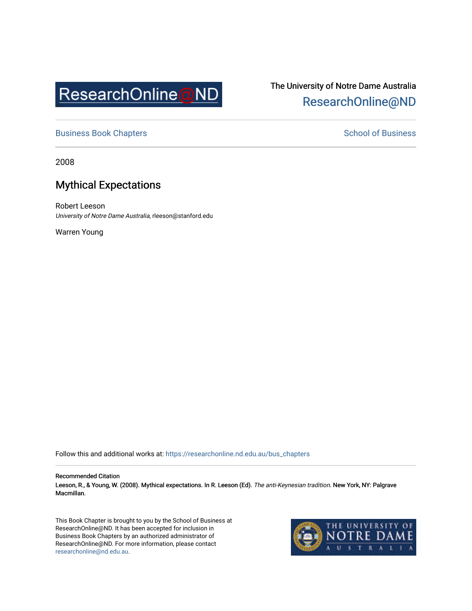

# The University of Notre Dame Australia [ResearchOnline@ND](https://researchonline.nd.edu.au/)

[Business Book Chapters](https://researchonline.nd.edu.au/bus_chapters) **School of Business** Business **School of Business** 

2008

## Mythical Expectations

Robert Leeson University of Notre Dame Australia, rleeson@stanford.edu

Warren Young

Follow this and additional works at: [https://researchonline.nd.edu.au/bus\\_chapters](https://researchonline.nd.edu.au/bus_chapters?utm_source=researchonline.nd.edu.au%2Fbus_chapters%2F9&utm_medium=PDF&utm_campaign=PDFCoverPages)

Recommended Citation Leeson, R., & Young, W. (2008). Mythical expectations. In R. Leeson (Ed). The anti-Keynesian tradition. New York, NY: Palgrave Macmillan.

This Book Chapter is brought to you by the School of Business at ResearchOnline@ND. It has been accepted for inclusion in Business Book Chapters by an authorized administrator of ResearchOnline@ND. For more information, please contact [researchonline@nd.edu.au.](mailto:researchonline@nd.edu.au)

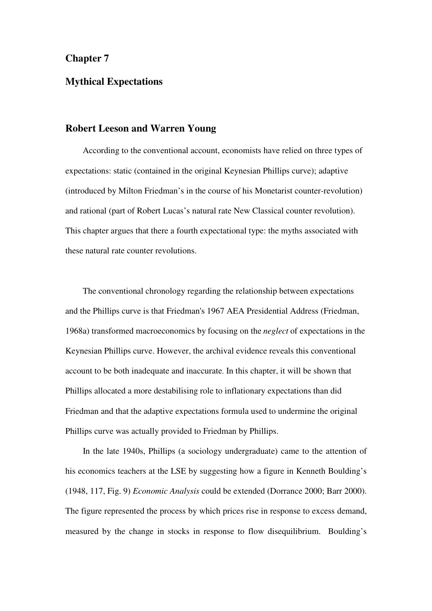### **Chapter 7**

## **Mythical Expectations**

### **Robert Leeson and Warren Young**

 According to the conventional account, economists have relied on three types of expectations: static (contained in the original Keynesian Phillips curve); adaptive (introduced by Milton Friedman's in the course of his Monetarist counter-revolution) and rational (part of Robert Lucas's natural rate New Classical counter revolution). This chapter argues that there a fourth expectational type: the myths associated with these natural rate counter revolutions.

 The conventional chronology regarding the relationship between expectations and the Phillips curve is that Friedman's 1967 AEA Presidential Address (Friedman, 1968a) transformed macroeconomics by focusing on the *neglect* of expectations in the Keynesian Phillips curve. However, the archival evidence reveals this conventional account to be both inadequate and inaccurate. In this chapter, it will be shown that Phillips allocated a more destabilising role to inflationary expectations than did Friedman and that the adaptive expectations formula used to undermine the original Phillips curve was actually provided to Friedman by Phillips.

 In the late 1940s, Phillips (a sociology undergraduate) came to the attention of his economics teachers at the LSE by suggesting how a figure in Kenneth Boulding's (1948, 117, Fig. 9) *Economic Analysis* could be extended (Dorrance 2000; Barr 2000). The figure represented the process by which prices rise in response to excess demand, measured by the change in stocks in response to flow disequilibrium. Boulding's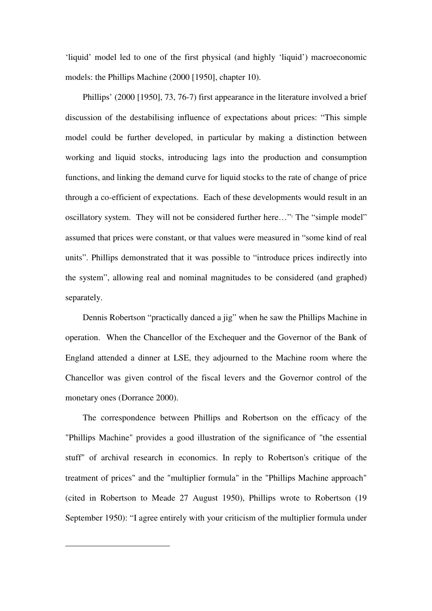'liquid' model led to one of the first physical (and highly 'liquid') macroeconomic models: the Phillips Machine (2000 [1950], chapter 10).

 Phillips' (2000 [1950], 73, 76-7) first appearance in the literature involved a brief discussion of the destabilising influence of expectations about prices: "This simple model could be further developed, in particular by making a distinction between working and liquid stocks, introducing lags into the production and consumption functions, and linking the demand curve for liquid stocks to the rate of change of price through a co-efficient of expectations. Each of these developments would result in an oscillatory system. They will not be considered further here..." The "simple model" assumed that prices were constant, or that values were measured in "some kind of real units". Phillips demonstrated that it was possible to "introduce prices indirectly into the system", allowing real and nominal magnitudes to be considered (and graphed) separately.

 Dennis Robertson "practically danced a jig" when he saw the Phillips Machine in operation. When the Chancellor of the Exchequer and the Governor of the Bank of England attended a dinner at LSE, they adjourned to the Machine room where the Chancellor was given control of the fiscal levers and the Governor control of the monetary ones (Dorrance 2000).

 The correspondence between Phillips and Robertson on the efficacy of the "Phillips Machine" provides a good illustration of the significance of "the essential stuff" of archival research in economics. In reply to Robertson's critique of the treatment of prices" and the "multiplier formula" in the "Phillips Machine approach" (cited in Robertson to Meade 27 August 1950), Phillips wrote to Robertson (19 September 1950): "I agree entirely with your criticism of the multiplier formula under

 $\overline{a}$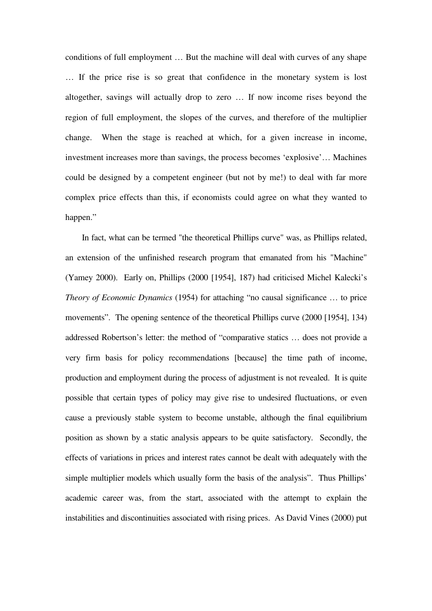conditions of full employment … But the machine will deal with curves of any shape … If the price rise is so great that confidence in the monetary system is lost altogether, savings will actually drop to zero … If now income rises beyond the region of full employment, the slopes of the curves, and therefore of the multiplier change. When the stage is reached at which, for a given increase in income, investment increases more than savings, the process becomes 'explosive'… Machines could be designed by a competent engineer (but not by me!) to deal with far more complex price effects than this, if economists could agree on what they wanted to happen."

 In fact, what can be termed "the theoretical Phillips curve" was, as Phillips related, an extension of the unfinished research program that emanated from his "Machine" (Yamey 2000). Early on, Phillips (2000 [1954], 187) had criticised Michel Kalecki's *Theory of Economic Dynamics* (1954) for attaching "no causal significance … to price movements". The opening sentence of the theoretical Phillips curve (2000 [1954], 134) addressed Robertson's letter: the method of "comparative statics … does not provide a very firm basis for policy recommendations [because] the time path of income, production and employment during the process of adjustment is not revealed. It is quite possible that certain types of policy may give rise to undesired fluctuations, or even cause a previously stable system to become unstable, although the final equilibrium position as shown by a static analysis appears to be quite satisfactory. Secondly, the effects of variations in prices and interest rates cannot be dealt with adequately with the simple multiplier models which usually form the basis of the analysis". Thus Phillips' academic career was, from the start, associated with the attempt to explain the instabilities and discontinuities associated with rising prices. As David Vines (2000) put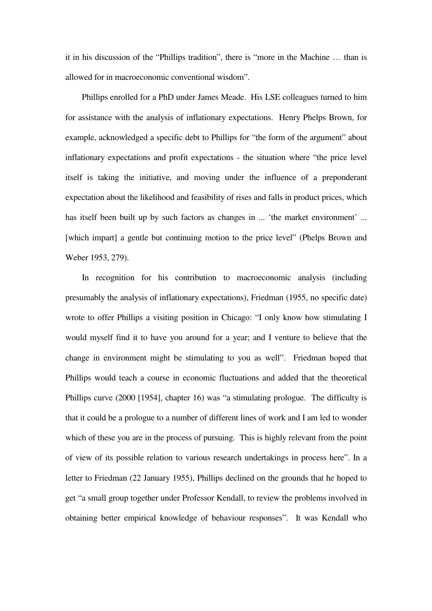it in his discussion of the "Phillips tradition", there is "more in the Machine … than is allowed for in macroeconomic conventional wisdom".

 Phillips enrolled for a PhD under James Meade. His LSE colleagues turned to him for assistance with the analysis of inflationary expectations. Henry Phelps Brown, for example, acknowledged a specific debt to Phillips for "the form of the argument" about inflationary expectations and profit expectations - the situation where "the price level itself is taking the initiative, and moving under the influence of a preponderant expectation about the likelihood and feasibility of rises and falls in product prices, which has itself been built up by such factors as changes in ... 'the market environment' ... [which impart] a gentle but continuing motion to the price level" (Phelps Brown and Weber 1953, 279).

 In recognition for his contribution to macroeconomic analysis (including presumably the analysis of inflationary expectations), Friedman (1955, no specific date) wrote to offer Phillips a visiting position in Chicago: "I only know how stimulating I would myself find it to have you around for a year; and I venture to believe that the change in environment might be stimulating to you as well". Friedman hoped that Phillips would teach a course in economic fluctuations and added that the theoretical Phillips curve (2000 [1954], chapter 16) was "a stimulating prologue. The difficulty is that it could be a prologue to a number of different lines of work and I am led to wonder which of these you are in the process of pursuing. This is highly relevant from the point of view of its possible relation to various research undertakings in process here". In a letter to Friedman (22 January 1955), Phillips declined on the grounds that he hoped to get "a small group together under Professor Kendall, to review the problems involved in obtaining better empirical knowledge of behaviour responses". It was Kendall who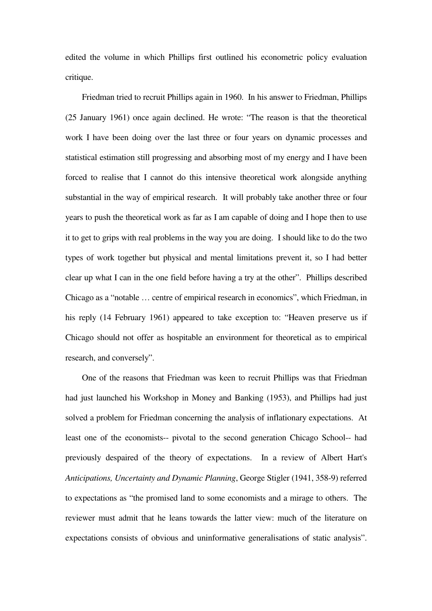edited the volume in which Phillips first outlined his econometric policy evaluation critique.

 Friedman tried to recruit Phillips again in 1960. In his answer to Friedman, Phillips (25 January 1961) once again declined. He wrote: "The reason is that the theoretical work I have been doing over the last three or four years on dynamic processes and statistical estimation still progressing and absorbing most of my energy and I have been forced to realise that I cannot do this intensive theoretical work alongside anything substantial in the way of empirical research. It will probably take another three or four years to push the theoretical work as far as I am capable of doing and I hope then to use it to get to grips with real problems in the way you are doing. I should like to do the two types of work together but physical and mental limitations prevent it, so I had better clear up what I can in the one field before having a try at the other". Phillips described Chicago as a "notable … centre of empirical research in economics", which Friedman, in his reply (14 February 1961) appeared to take exception to: "Heaven preserve us if Chicago should not offer as hospitable an environment for theoretical as to empirical research, and conversely".

 One of the reasons that Friedman was keen to recruit Phillips was that Friedman had just launched his Workshop in Money and Banking (1953), and Phillips had just solved a problem for Friedman concerning the analysis of inflationary expectations. At least one of the economists-- pivotal to the second generation Chicago School-- had previously despaired of the theory of expectations. In a review of Albert Hart's *Anticipations, Uncertainty and Dynamic Planning*, George Stigler (1941, 358-9) referred to expectations as "the promised land to some economists and a mirage to others. The reviewer must admit that he leans towards the latter view: much of the literature on expectations consists of obvious and uninformative generalisations of static analysis".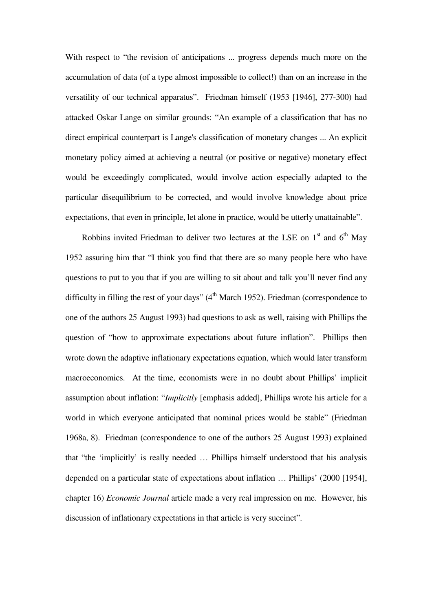With respect to "the revision of anticipations ... progress depends much more on the accumulation of data (of a type almost impossible to collect!) than on an increase in the versatility of our technical apparatus". Friedman himself (1953 [1946], 277-300) had attacked Oskar Lange on similar grounds: "An example of a classification that has no direct empirical counterpart is Lange's classification of monetary changes ... An explicit monetary policy aimed at achieving a neutral (or positive or negative) monetary effect would be exceedingly complicated, would involve action especially adapted to the particular disequilibrium to be corrected, and would involve knowledge about price expectations, that even in principle, let alone in practice, would be utterly unattainable".

Robbins invited Friedman to deliver two lectures at the LSE on  $1<sup>st</sup>$  and  $6<sup>th</sup>$  May 1952 assuring him that "I think you find that there are so many people here who have questions to put to you that if you are willing to sit about and talk you'll never find any difficulty in filling the rest of your days"  $(4<sup>th</sup> March 1952)$ . Friedman (correspondence to one of the authors 25 August 1993) had questions to ask as well, raising with Phillips the question of "how to approximate expectations about future inflation". Phillips then wrote down the adaptive inflationary expectations equation, which would later transform macroeconomics. At the time, economists were in no doubt about Phillips' implicit assumption about inflation: "*Implicitly* [emphasis added], Phillips wrote his article for a world in which everyone anticipated that nominal prices would be stable" (Friedman 1968a, 8). Friedman (correspondence to one of the authors 25 August 1993) explained that "the 'implicitly' is really needed … Phillips himself understood that his analysis depended on a particular state of expectations about inflation … Phillips' (2000 [1954], chapter 16) *Economic Journal* article made a very real impression on me. However, his discussion of inflationary expectations in that article is very succinct".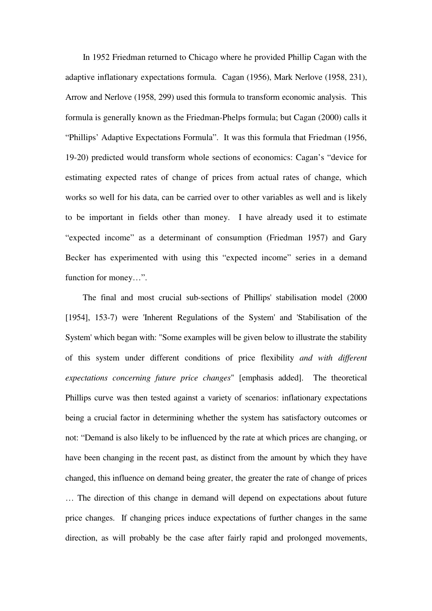In 1952 Friedman returned to Chicago where he provided Phillip Cagan with the adaptive inflationary expectations formula. Cagan (1956), Mark Nerlove (1958, 231), Arrow and Nerlove (1958, 299) used this formula to transform economic analysis. This formula is generally known as the Friedman-Phelps formula; but Cagan (2000) calls it "Phillips' Adaptive Expectations Formula". It was this formula that Friedman (1956, 19-20) predicted would transform whole sections of economics: Cagan's "device for estimating expected rates of change of prices from actual rates of change, which works so well for his data, can be carried over to other variables as well and is likely to be important in fields other than money. I have already used it to estimate "expected income" as a determinant of consumption (Friedman 1957) and Gary Becker has experimented with using this "expected income" series in a demand function for money…".

 The final and most crucial sub-sections of Phillips' stabilisation model (2000 [1954], 153-7) were 'Inherent Regulations of the System' and 'Stabilisation of the System' which began with: "Some examples will be given below to illustrate the stability of this system under different conditions of price flexibility *and with different expectations concerning future price changes*" [emphasis added]. The theoretical Phillips curve was then tested against a variety of scenarios: inflationary expectations being a crucial factor in determining whether the system has satisfactory outcomes or not: "Demand is also likely to be influenced by the rate at which prices are changing, or have been changing in the recent past, as distinct from the amount by which they have changed, this influence on demand being greater, the greater the rate of change of prices … The direction of this change in demand will depend on expectations about future price changes. If changing prices induce expectations of further changes in the same direction, as will probably be the case after fairly rapid and prolonged movements,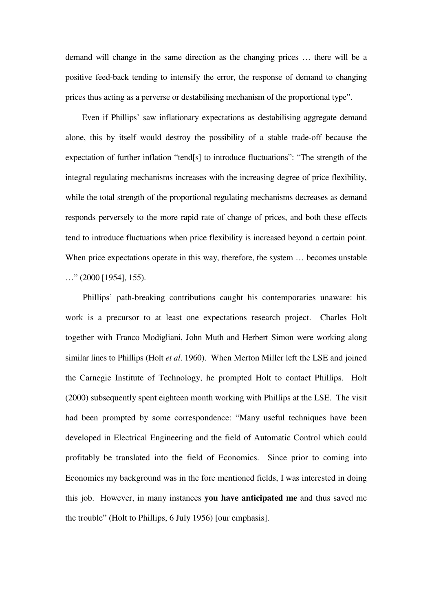demand will change in the same direction as the changing prices … there will be a positive feed-back tending to intensify the error, the response of demand to changing prices thus acting as a perverse or destabilising mechanism of the proportional type".

 Even if Phillips' saw inflationary expectations as destabilising aggregate demand alone, this by itself would destroy the possibility of a stable trade-off because the expectation of further inflation "tend[s] to introduce fluctuations": "The strength of the integral regulating mechanisms increases with the increasing degree of price flexibility, while the total strength of the proportional regulating mechanisms decreases as demand responds perversely to the more rapid rate of change of prices, and both these effects tend to introduce fluctuations when price flexibility is increased beyond a certain point. When price expectations operate in this way, therefore, the system ... becomes unstable …" (2000 [1954], 155).

 Phillips' path-breaking contributions caught his contemporaries unaware: his work is a precursor to at least one expectations research project. Charles Holt together with Franco Modigliani, John Muth and Herbert Simon were working along similar lines to Phillips (Holt *et al*. 1960). When Merton Miller left the LSE and joined the Carnegie Institute of Technology, he prompted Holt to contact Phillips. Holt (2000) subsequently spent eighteen month working with Phillips at the LSE. The visit had been prompted by some correspondence: "Many useful techniques have been developed in Electrical Engineering and the field of Automatic Control which could profitably be translated into the field of Economics. Since prior to coming into Economics my background was in the fore mentioned fields, I was interested in doing this job. However, in many instances **you have anticipated me** and thus saved me the trouble" (Holt to Phillips, 6 July 1956) [our emphasis].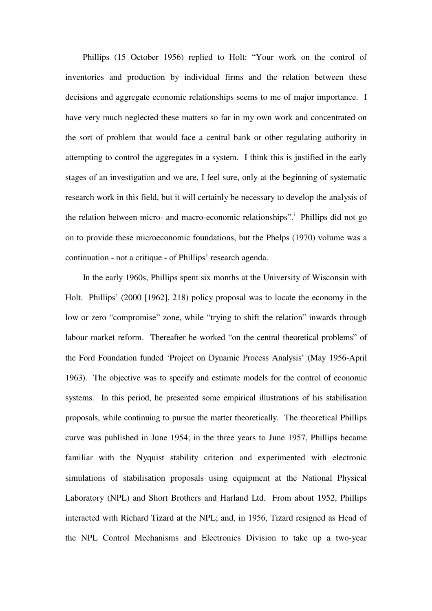Phillips (15 October 1956) replied to Holt: "Your work on the control of inventories and production by individual firms and the relation between these decisions and aggregate economic relationships seems to me of major importance. I have very much neglected these matters so far in my own work and concentrated on the sort of problem that would face a central bank or other regulating authority in attempting to control the aggregates in a system. I think this is justified in the early stages of an investigation and we are, I feel sure, only at the beginning of systematic research work in this field, but it will certainly be necessary to develop the analysis of the relation between micro- and macro-economic relationships".<sup>i</sup> Phillips did not go on to provide these microeconomic foundations, but the Phelps (1970) volume was a continuation - not a critique - of Phillips' research agenda.

 In the early 1960s, Phillips spent six months at the University of Wisconsin with Holt. Phillips' (2000 [1962], 218) policy proposal was to locate the economy in the low or zero "compromise" zone, while "trying to shift the relation" inwards through labour market reform. Thereafter he worked "on the central theoretical problems" of the Ford Foundation funded 'Project on Dynamic Process Analysis' (May 1956-April 1963). The objective was to specify and estimate models for the control of economic systems. In this period, he presented some empirical illustrations of his stabilisation proposals, while continuing to pursue the matter theoretically. The theoretical Phillips curve was published in June 1954; in the three years to June 1957, Phillips became familiar with the Nyquist stability criterion and experimented with electronic simulations of stabilisation proposals using equipment at the National Physical Laboratory (NPL) and Short Brothers and Harland Ltd. From about 1952, Phillips interacted with Richard Tizard at the NPL; and, in 1956, Tizard resigned as Head of the NPL Control Mechanisms and Electronics Division to take up a two-year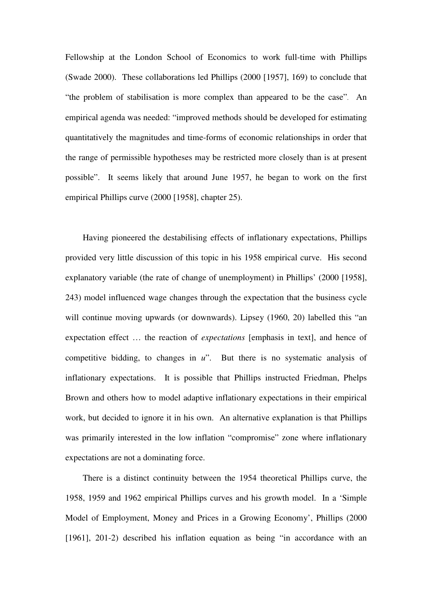Fellowship at the London School of Economics to work full-time with Phillips (Swade 2000). These collaborations led Phillips (2000 [1957], 169) to conclude that "the problem of stabilisation is more complex than appeared to be the case". An empirical agenda was needed: "improved methods should be developed for estimating quantitatively the magnitudes and time-forms of economic relationships in order that the range of permissible hypotheses may be restricted more closely than is at present possible". It seems likely that around June 1957, he began to work on the first empirical Phillips curve (2000 [1958], chapter 25).

 Having pioneered the destabilising effects of inflationary expectations, Phillips provided very little discussion of this topic in his 1958 empirical curve. His second explanatory variable (the rate of change of unemployment) in Phillips' (2000 [1958], 243) model influenced wage changes through the expectation that the business cycle will continue moving upwards (or downwards). Lipsey (1960, 20) labelled this "an expectation effect … the reaction of *expectations* [emphasis in text], and hence of competitive bidding, to changes in *u*". But there is no systematic analysis of inflationary expectations. It is possible that Phillips instructed Friedman, Phelps Brown and others how to model adaptive inflationary expectations in their empirical work, but decided to ignore it in his own. An alternative explanation is that Phillips was primarily interested in the low inflation "compromise" zone where inflationary expectations are not a dominating force.

 There is a distinct continuity between the 1954 theoretical Phillips curve, the 1958, 1959 and 1962 empirical Phillips curves and his growth model. In a 'Simple Model of Employment, Money and Prices in a Growing Economy', Phillips (2000 [1961], 201-2) described his inflation equation as being "in accordance with an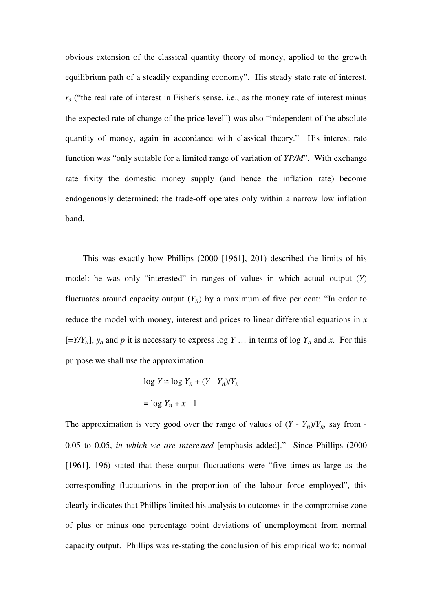obvious extension of the classical quantity theory of money, applied to the growth equilibrium path of a steadily expanding economy". His steady state rate of interest, *rs* ("the real rate of interest in Fisher's sense, i.e., as the money rate of interest minus the expected rate of change of the price level") was also "independent of the absolute quantity of money, again in accordance with classical theory." His interest rate function was "only suitable for a limited range of variation of *YP/M*". With exchange rate fixity the domestic money supply (and hence the inflation rate) become endogenously determined; the trade-off operates only within a narrow low inflation band.

 This was exactly how Phillips (2000 [1961], 201) described the limits of his model: he was only "interested" in ranges of values in which actual output (*Y*) fluctuates around capacity output  $(Y_n)$  by a maximum of five per cent: "In order to reduce the model with money, interest and prices to linear differential equations in *x*  $[=Y/Y_n]$ ,  $y_n$  and  $p$  it is necessary to express log *Y* ... in terms of log  $Y_n$  and *x*. For this purpose we shall use the approximation

$$
\log Y \cong \log Y_n + (Y - Y_n) / Y_n
$$

$$
= \log Y_n + x - 1
$$

The approximation is very good over the range of values of  $(Y - Y_n)/Y_n$ , say from -0.05 to 0.05, *in which we are interested* [emphasis added]." Since Phillips (2000 [1961], 196) stated that these output fluctuations were "five times as large as the corresponding fluctuations in the proportion of the labour force employed", this clearly indicates that Phillips limited his analysis to outcomes in the compromise zone of plus or minus one percentage point deviations of unemployment from normal capacity output. Phillips was re-stating the conclusion of his empirical work; normal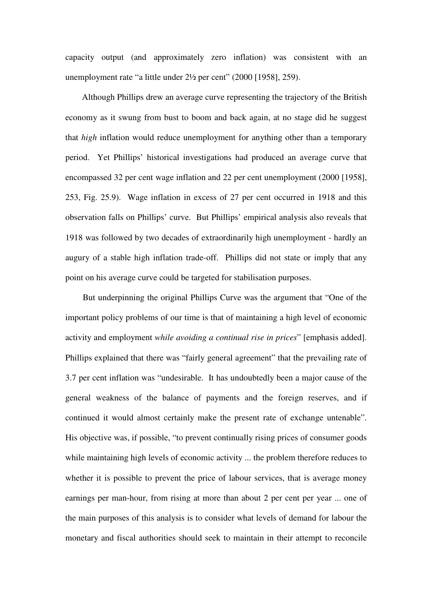capacity output (and approximately zero inflation) was consistent with an unemployment rate "a little under 2½ per cent" (2000 [1958], 259).

 Although Phillips drew an average curve representing the trajectory of the British economy as it swung from bust to boom and back again, at no stage did he suggest that *high* inflation would reduce unemployment for anything other than a temporary period. Yet Phillips' historical investigations had produced an average curve that encompassed 32 per cent wage inflation and 22 per cent unemployment (2000 [1958], 253, Fig. 25.9). Wage inflation in excess of 27 per cent occurred in 1918 and this observation falls on Phillips' curve. But Phillips' empirical analysis also reveals that 1918 was followed by two decades of extraordinarily high unemployment - hardly an augury of a stable high inflation trade-off. Phillips did not state or imply that any point on his average curve could be targeted for stabilisation purposes.

 But underpinning the original Phillips Curve was the argument that "One of the important policy problems of our time is that of maintaining a high level of economic activity and employment *while avoiding a continual rise in prices*" [emphasis added]. Phillips explained that there was "fairly general agreement" that the prevailing rate of 3.7 per cent inflation was "undesirable. It has undoubtedly been a major cause of the general weakness of the balance of payments and the foreign reserves, and if continued it would almost certainly make the present rate of exchange untenable". His objective was, if possible, "to prevent continually rising prices of consumer goods while maintaining high levels of economic activity ... the problem therefore reduces to whether it is possible to prevent the price of labour services, that is average money earnings per man-hour, from rising at more than about 2 per cent per year ... one of the main purposes of this analysis is to consider what levels of demand for labour the monetary and fiscal authorities should seek to maintain in their attempt to reconcile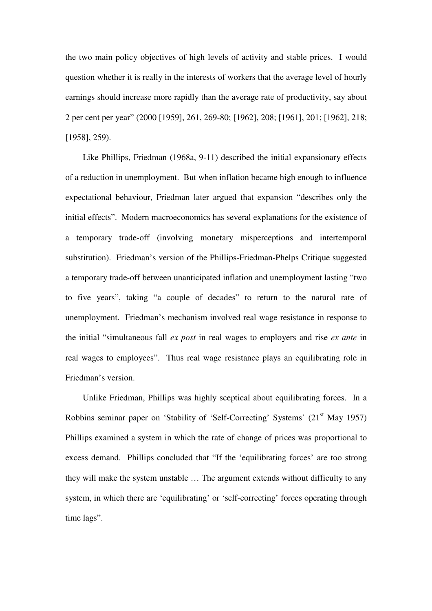the two main policy objectives of high levels of activity and stable prices. I would question whether it is really in the interests of workers that the average level of hourly earnings should increase more rapidly than the average rate of productivity, say about 2 per cent per year" (2000 [1959], 261, 269-80; [1962], 208; [1961], 201; [1962], 218; [1958], 259).

 Like Phillips, Friedman (1968a, 9-11) described the initial expansionary effects of a reduction in unemployment. But when inflation became high enough to influence expectational behaviour, Friedman later argued that expansion "describes only the initial effects". Modern macroeconomics has several explanations for the existence of a temporary trade-off (involving monetary misperceptions and intertemporal substitution). Friedman's version of the Phillips-Friedman-Phelps Critique suggested a temporary trade-off between unanticipated inflation and unemployment lasting "two to five years", taking "a couple of decades" to return to the natural rate of unemployment. Friedman's mechanism involved real wage resistance in response to the initial "simultaneous fall *ex post* in real wages to employers and rise *ex ante* in real wages to employees". Thus real wage resistance plays an equilibrating role in Friedman's version.

 Unlike Friedman, Phillips was highly sceptical about equilibrating forces. In a Robbins seminar paper on 'Stability of 'Self-Correcting' Systems'  $(21<sup>st</sup>$  May 1957) Phillips examined a system in which the rate of change of prices was proportional to excess demand. Phillips concluded that "If the 'equilibrating forces' are too strong they will make the system unstable … The argument extends without difficulty to any system, in which there are 'equilibrating' or 'self-correcting' forces operating through time lags".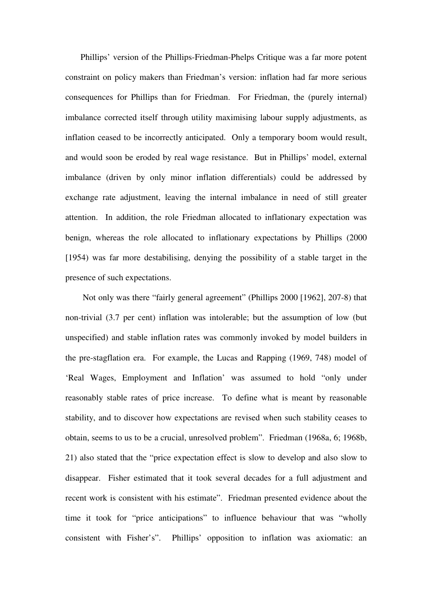Phillips' version of the Phillips-Friedman-Phelps Critique was a far more potent constraint on policy makers than Friedman's version: inflation had far more serious consequences for Phillips than for Friedman. For Friedman, the (purely internal) imbalance corrected itself through utility maximising labour supply adjustments, as inflation ceased to be incorrectly anticipated. Only a temporary boom would result, and would soon be eroded by real wage resistance. But in Phillips' model, external imbalance (driven by only minor inflation differentials) could be addressed by exchange rate adjustment, leaving the internal imbalance in need of still greater attention. In addition, the role Friedman allocated to inflationary expectation was benign, whereas the role allocated to inflationary expectations by Phillips (2000 [1954) was far more destabilising, denying the possibility of a stable target in the presence of such expectations.

 Not only was there "fairly general agreement" (Phillips 2000 [1962], 207-8) that non-trivial (3.7 per cent) inflation was intolerable; but the assumption of low (but unspecified) and stable inflation rates was commonly invoked by model builders in the pre-stagflation era. For example, the Lucas and Rapping (1969, 748) model of 'Real Wages, Employment and Inflation' was assumed to hold "only under reasonably stable rates of price increase. To define what is meant by reasonable stability, and to discover how expectations are revised when such stability ceases to obtain, seems to us to be a crucial, unresolved problem". Friedman (1968a, 6; 1968b, 21) also stated that the "price expectation effect is slow to develop and also slow to disappear. Fisher estimated that it took several decades for a full adjustment and recent work is consistent with his estimate". Friedman presented evidence about the time it took for "price anticipations" to influence behaviour that was "wholly consistent with Fisher's". Phillips' opposition to inflation was axiomatic: an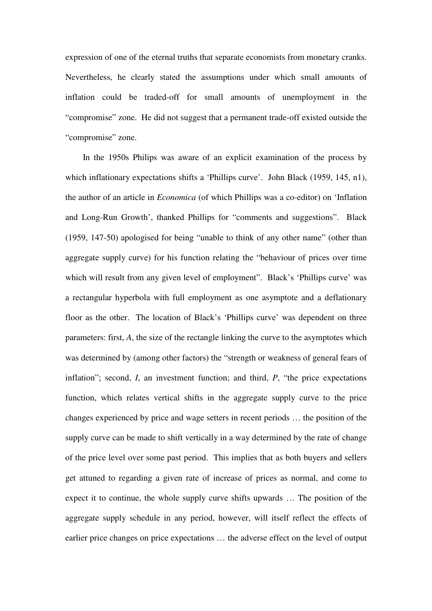expression of one of the eternal truths that separate economists from monetary cranks. Nevertheless, he clearly stated the assumptions under which small amounts of inflation could be traded-off for small amounts of unemployment in the "compromise" zone. He did not suggest that a permanent trade-off existed outside the "compromise" zone.

 In the 1950s Philips was aware of an explicit examination of the process by which inflationary expectations shifts a 'Phillips curve'. John Black (1959, 145, n1), the author of an article in *Economica* (of which Phillips was a co-editor) on 'Inflation and Long-Run Growth', thanked Phillips for "comments and suggestions". Black (1959, 147-50) apologised for being "unable to think of any other name" (other than aggregate supply curve) for his function relating the "behaviour of prices over time which will result from any given level of employment". Black's 'Phillips curve' was a rectangular hyperbola with full employment as one asymptote and a deflationary floor as the other. The location of Black's 'Phillips curve' was dependent on three parameters: first, *A*, the size of the rectangle linking the curve to the asymptotes which was determined by (among other factors) the "strength or weakness of general fears of inflation"; second, *I*, an investment function; and third, *P*, "the price expectations function, which relates vertical shifts in the aggregate supply curve to the price changes experienced by price and wage setters in recent periods … the position of the supply curve can be made to shift vertically in a way determined by the rate of change of the price level over some past period. This implies that as both buyers and sellers get attuned to regarding a given rate of increase of prices as normal, and come to expect it to continue, the whole supply curve shifts upwards … The position of the aggregate supply schedule in any period, however, will itself reflect the effects of earlier price changes on price expectations … the adverse effect on the level of output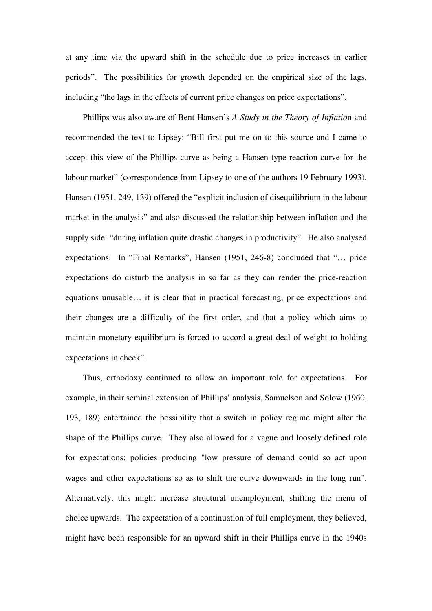at any time via the upward shift in the schedule due to price increases in earlier periods". The possibilities for growth depended on the empirical size of the lags, including "the lags in the effects of current price changes on price expectations".

 Phillips was also aware of Bent Hansen's *A Study in the Theory of Inflatio*n and recommended the text to Lipsey: "Bill first put me on to this source and I came to accept this view of the Phillips curve as being a Hansen-type reaction curve for the labour market" (correspondence from Lipsey to one of the authors 19 February 1993). Hansen (1951, 249, 139) offered the "explicit inclusion of disequilibrium in the labour market in the analysis" and also discussed the relationship between inflation and the supply side: "during inflation quite drastic changes in productivity". He also analysed expectations. In "Final Remarks", Hansen (1951, 246-8) concluded that "… price expectations do disturb the analysis in so far as they can render the price-reaction equations unusable… it is clear that in practical forecasting, price expectations and their changes are a difficulty of the first order, and that a policy which aims to maintain monetary equilibrium is forced to accord a great deal of weight to holding expectations in check".

 Thus, orthodoxy continued to allow an important role for expectations. For example, in their seminal extension of Phillips' analysis, Samuelson and Solow (1960, 193, 189) entertained the possibility that a switch in policy regime might alter the shape of the Phillips curve. They also allowed for a vague and loosely defined role for expectations: policies producing "low pressure of demand could so act upon wages and other expectations so as to shift the curve downwards in the long run". Alternatively, this might increase structural unemployment, shifting the menu of choice upwards. The expectation of a continuation of full employment, they believed, might have been responsible for an upward shift in their Phillips curve in the 1940s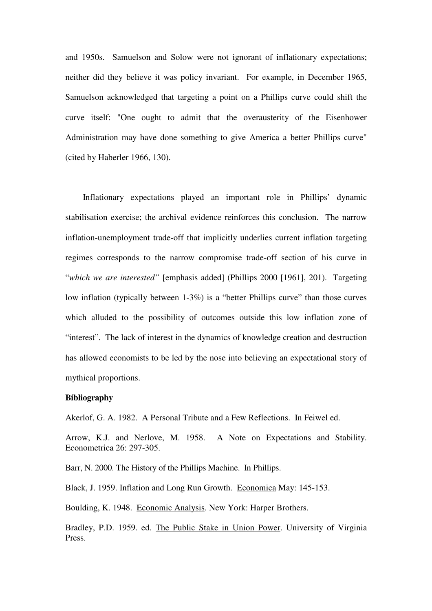and 1950s. Samuelson and Solow were not ignorant of inflationary expectations; neither did they believe it was policy invariant. For example, in December 1965, Samuelson acknowledged that targeting a point on a Phillips curve could shift the curve itself: "One ought to admit that the overausterity of the Eisenhower Administration may have done something to give America a better Phillips curve" (cited by Haberler 1966, 130).

 Inflationary expectations played an important role in Phillips' dynamic stabilisation exercise; the archival evidence reinforces this conclusion. The narrow inflation-unemployment trade-off that implicitly underlies current inflation targeting regimes corresponds to the narrow compromise trade-off section of his curve in "*which we are interested"* [emphasis added] (Phillips 2000 [1961], 201). Targeting low inflation (typically between 1-3%) is a "better Phillips curve" than those curves which alluded to the possibility of outcomes outside this low inflation zone of "interest". The lack of interest in the dynamics of knowledge creation and destruction has allowed economists to be led by the nose into believing an expectational story of mythical proportions.

## **Bibliography**

Akerlof, G. A. 1982. A Personal Tribute and a Few Reflections. In Feiwel ed.

Arrow, K.J. and Nerlove, M. 1958. A Note on Expectations and Stability. Econometrica 26: 297-305.

Barr, N. 2000. The History of the Phillips Machine. In Phillips.

Black, J. 1959. Inflation and Long Run Growth. Economica May: 145-153.

Boulding, K. 1948. Economic Analysis. New York: Harper Brothers.

Bradley, P.D. 1959. ed. The Public Stake in Union Power. University of Virginia Press.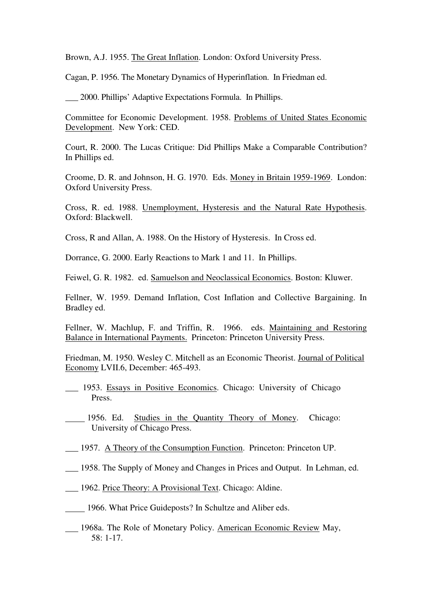Brown, A.J. 1955. The Great Inflation. London: Oxford University Press.

Cagan, P. 1956. The Monetary Dynamics of Hyperinflation. In Friedman ed.

\_\_\_ 2000. Phillips' Adaptive Expectations Formula. In Phillips.

Committee for Economic Development. 1958. Problems of United States Economic Development. New York: CED.

Court, R. 2000. The Lucas Critique: Did Phillips Make a Comparable Contribution? In Phillips ed.

Croome, D. R. and Johnson, H. G. 1970. Eds. Money in Britain 1959-1969. London: Oxford University Press.

Cross, R. ed. 1988. Unemployment, Hysteresis and the Natural Rate Hypothesis. Oxford: Blackwell.

Cross, R and Allan, A. 1988. On the History of Hysteresis. In Cross ed.

Dorrance, G. 2000. Early Reactions to Mark 1 and 11. In Phillips.

Feiwel, G. R. 1982. ed. Samuelson and Neoclassical Economics. Boston: Kluwer.

Fellner, W. 1959. Demand Inflation, Cost Inflation and Collective Bargaining. In Bradley ed.

Fellner, W. Machlup, F. and Triffin, R. 1966. eds. Maintaining and Restoring Balance in International Payments. Princeton: Princeton University Press.

Friedman, M. 1950. Wesley C. Mitchell as an Economic Theorist. Journal of Political Economy LVII.6, December: 465-493.

- \_\_\_ 1953. Essays in Positive Economics. Chicago: University of Chicago Press.
- 1956. Ed. Studies in the Quantity Theory of Money. Chicago: University of Chicago Press.
- \_\_\_ 1957. A Theory of the Consumption Function. Princeton: Princeton UP.
- \_\_\_ 1958. The Supply of Money and Changes in Prices and Output. In Lehman, ed.
- \_\_\_ 1962. Price Theory: A Provisional Text. Chicago: Aldine.
- 1966. What Price Guideposts? In Schultze and Aliber eds.
- 1968a. The Role of Monetary Policy. American Economic Review May, 58: 1-17.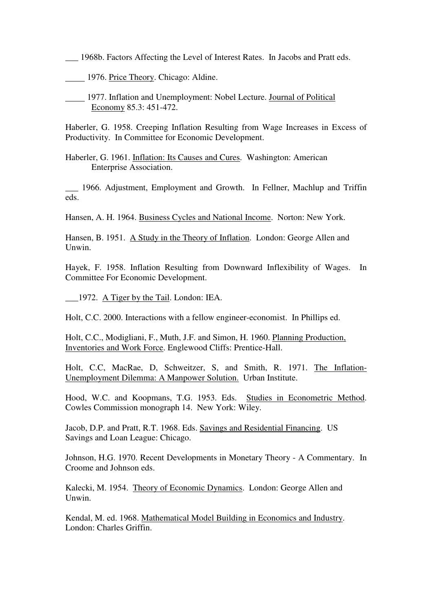\_\_\_ 1968b. Factors Affecting the Level of Interest Rates. In Jacobs and Pratt eds.

1976. Price Theory. Chicago: Aldine.

 1977. Inflation and Unemployment: Nobel Lecture. Journal of Political Economy 85.3: 451-472.

Haberler, G. 1958. Creeping Inflation Resulting from Wage Increases in Excess of Productivity. In Committee for Economic Development.

Haberler, G. 1961. Inflation: Its Causes and Cures. Washington: American Enterprise Association.

\_\_\_ 1966. Adjustment, Employment and Growth. In Fellner, Machlup and Triffin eds.

Hansen, A. H. 1964. Business Cycles and National Income. Norton: New York.

Hansen, B. 1951. A Study in the Theory of Inflation. London: George Allen and Unwin.

Hayek, F. 1958. Inflation Resulting from Downward Inflexibility of Wages. In Committee For Economic Development.

\_\_\_1972. A Tiger by the Tail. London: IEA.

Holt, C.C. 2000. Interactions with a fellow engineer-economist. In Phillips ed.

Holt, C.C., Modigliani, F., Muth, J.F. and Simon, H. 1960. Planning Production, Inventories and Work Force. Englewood Cliffs: Prentice-Hall.

Holt, C.C, MacRae, D, Schweitzer, S, and Smith, R. 1971. The Inflation-Unemployment Dilemma: A Manpower Solution. Urban Institute.

Hood, W.C. and Koopmans, T.G. 1953. Eds. Studies in Econometric Method. Cowles Commission monograph 14. New York: Wiley.

Jacob, D.P. and Pratt, R.T. 1968. Eds. Savings and Residential Financing. US Savings and Loan League: Chicago.

Johnson, H.G. 1970. Recent Developments in Monetary Theory - A Commentary. In Croome and Johnson eds.

Kalecki, M. 1954. Theory of Economic Dynamics. London: George Allen and **Unwin** 

Kendal, M. ed. 1968. Mathematical Model Building in Economics and Industry. London: Charles Griffin.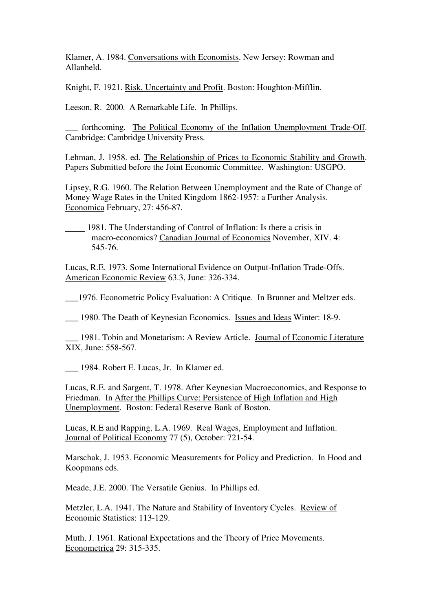Klamer, A. 1984. Conversations with Economists. New Jersey: Rowman and Allanheld.

Knight, F. 1921. Risk, Uncertainty and Profit. Boston: Houghton-Mifflin.

Leeson, R. 2000. A Remarkable Life. In Phillips.

\_\_\_ forthcoming. The Political Economy of the Inflation Unemployment Trade-Off. Cambridge: Cambridge University Press.

Lehman, J. 1958. ed. The Relationship of Prices to Economic Stability and Growth. Papers Submitted before the Joint Economic Committee. Washington: USGPO.

Lipsey, R.G. 1960. The Relation Between Unemployment and the Rate of Change of Money Wage Rates in the United Kingdom 1862-1957: a Further Analysis. Economica February, 27: 456-87.

 1981. The Understanding of Control of Inflation: Is there a crisis in macro-economics? Canadian Journal of Economics November, XIV. 4: 545-76.

Lucas, R.E. 1973. Some International Evidence on Output-Inflation Trade-Offs. American Economic Review 63.3, June: 326-334.

\_\_\_1976. Econometric Policy Evaluation: A Critique. In Brunner and Meltzer eds.

\_\_\_ 1980. The Death of Keynesian Economics. Issues and Ideas Winter: 18-9.

\_\_\_ 1981. Tobin and Monetarism: A Review Article. Journal of Economic Literature XIX, June: 558-567.

\_\_\_ 1984. Robert E. Lucas, Jr. In Klamer ed.

Lucas, R.E. and Sargent, T. 1978. After Keynesian Macroeconomics, and Response to Friedman. In After the Phillips Curve: Persistence of High Inflation and High Unemployment. Boston: Federal Reserve Bank of Boston.

Lucas, R.E and Rapping, L.A. 1969. Real Wages, Employment and Inflation. Journal of Political Economy 77 (5), October: 721-54.

Marschak, J. 1953. Economic Measurements for Policy and Prediction. In Hood and Koopmans eds.

Meade, J.E. 2000. The Versatile Genius. In Phillips ed.

Metzler, L.A. 1941. The Nature and Stability of Inventory Cycles. Review of Economic Statistics: 113-129.

Muth, J. 1961. Rational Expectations and the Theory of Price Movements. Econometrica 29: 315-335.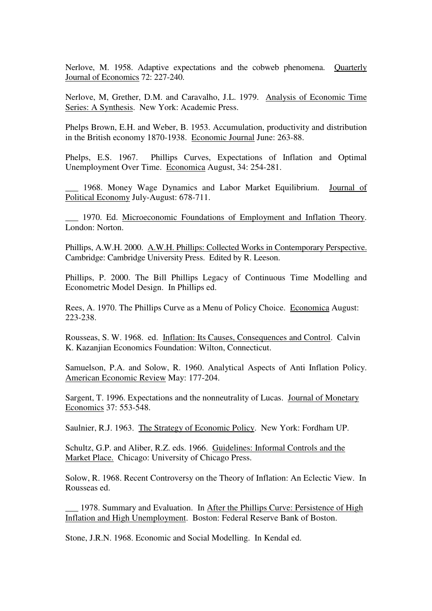Nerlove, M. 1958. Adaptive expectations and the cobweb phenomena. Quarterly Journal of Economics 72: 227-240.

Nerlove, M, Grether, D.M. and Caravalho, J.L. 1979. Analysis of Economic Time Series: A Synthesis. New York: Academic Press.

Phelps Brown, E.H. and Weber, B. 1953. Accumulation, productivity and distribution in the British economy 1870-1938. Economic Journal June: 263-88.

Phelps, E.S. 1967. Phillips Curves, Expectations of Inflation and Optimal Unemployment Over Time. Economica August, 34: 254-281.

\_\_\_ 1968. Money Wage Dynamics and Labor Market Equilibrium. Journal of Political Economy July-August: 678-711.

\_\_\_ 1970. Ed. Microeconomic Foundations of Employment and Inflation Theory. London: Norton.

Phillips, A.W.H. 2000. A.W.H. Phillips: Collected Works in Contemporary Perspective. Cambridge: Cambridge University Press. Edited by R. Leeson.

Phillips, P. 2000. The Bill Phillips Legacy of Continuous Time Modelling and Econometric Model Design. In Phillips ed.

Rees, A. 1970. The Phillips Curve as a Menu of Policy Choice. Economica August: 223-238.

Rousseas, S. W. 1968. ed. Inflation: Its Causes, Consequences and Control. Calvin K. Kazanjian Economics Foundation: Wilton, Connecticut.

Samuelson, P.A. and Solow, R. 1960. Analytical Aspects of Anti Inflation Policy. American Economic Review May: 177-204.

Sargent, T. 1996. Expectations and the nonneutrality of Lucas. Journal of Monetary Economics 37: 553-548.

Saulnier, R.J. 1963. The Strategy of Economic Policy. New York: Fordham UP.

Schultz, G.P. and Aliber, R.Z. eds. 1966. Guidelines: Informal Controls and the Market Place. Chicago: University of Chicago Press.

Solow, R. 1968. Recent Controversy on the Theory of Inflation: An Eclectic View. In Rousseas ed.

1978. Summary and Evaluation. In After the Phillips Curve: Persistence of High Inflation and High Unemployment. Boston: Federal Reserve Bank of Boston.

Stone, J.R.N. 1968. Economic and Social Modelling. In Kendal ed.